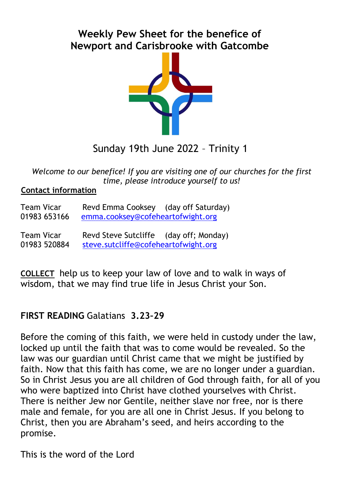# **Weekly Pew Sheet for the benefice of Newport and Carisbrooke with Gatcombe**



# Sunday 19th June 2022 – Trinity 1

*Welcome to our benefice! If you are visiting one of our churches for the first time, please introduce yourself to us!*

#### **Contact information**

| <b>Team Vicar</b> | Revd Emma Cooksey (day off Saturday) |  |
|-------------------|--------------------------------------|--|
| 01983 653166      | emma.cooksey@cofeheartofwight.org    |  |

Team Vicar Revd Steve Sutcliffe (day off; Monday) 01983 520884 [steve.sutcliffe@cofeheartofwight.org](mailto:steve.sutcliffe@cofeheartofwight.org)

**COLLECT** help us to keep your law of love and to walk in ways of wisdom, that we may find true life in Jesus Christ your Son.

## **FIRST READING** Galatians **3.23–29**

Before the coming of this faith, we were held in custody under the law, locked up until the faith that was to come would be revealed. So the law was our guardian until Christ came that we might be justified by faith. Now that this faith has come, we are no longer under a guardian. So in Christ Jesus you are all children of God through faith, for all of you who were baptized into Christ have clothed yourselves with Christ. There is neither Jew nor Gentile, neither slave nor free, nor is there male and female, for you are all one in Christ Jesus. If you belong to Christ, then you are Abraham's seed, and heirs according to the promise.

This is the word of the Lord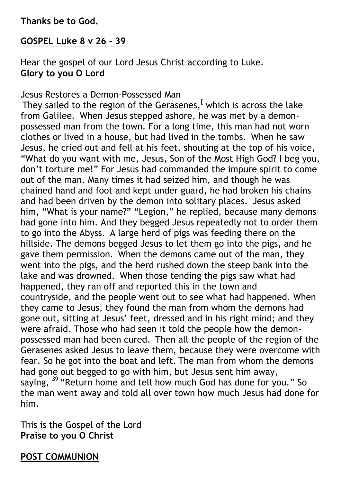**Thanks be to God.**

### **GOSPEL Luke 8 v 26 - 39**

Hear the gospel of our Lord Jesus Christ according to Luke. **Glory to you O Lord**

### Jesus Restores a Demon-Possessed Man

They sailed to the region of the Gerasenes,<sup> $I$ </sup> which is across the lake from Galilee. When Jesus stepped ashore, he was met by a demonpossessed man from the town. For a long time, this man had not worn clothes or lived in a house, but had lived in the tombs. When he saw Jesus, he cried out and fell at his feet, shouting at the top of his voice, "What do you want with me, Jesus, Son of the Most High God? I beg you, don't torture me!" For Jesus had commanded the impure spirit to come out of the man. Many times it had seized him, and though he was chained hand and foot and kept under guard, he had broken his chains and had been driven by the demon into solitary places. Jesus asked him, "What is your name?" "Legion," he replied, because many demons had gone into him. And they begged Jesus repeatedly not to order them to go into the Abyss. A large herd of pigs was feeding there on the hillside. The demons begged Jesus to let them go into the pigs, and he gave them permission. When the demons came out of the man, they went into the pigs, and the herd rushed down the steep bank into the lake and was drowned. When those tending the pigs saw what had happened, they ran off and reported this in the town and countryside, and the people went out to see what had happened. When they came to Jesus, they found the man from whom the demons had gone out, sitting at Jesus' feet, dressed and in his right mind; and they were afraid. Those who had seen it told the people how the demonpossessed man had been cured. Then all the people of the region of the Gerasenes asked Jesus to leave them, because they were overcome with fear. So he got into the boat and left. The man from whom the demons had gone out begged to go with him, but Jesus sent him away, saying, <sup>39</sup> "Return home and tell how much God has done for you." So the man went away and told all over town how much Jesus had done for him.

This is the Gospel of the Lord **Praise to you O Christ**

## **POST COMMUNION**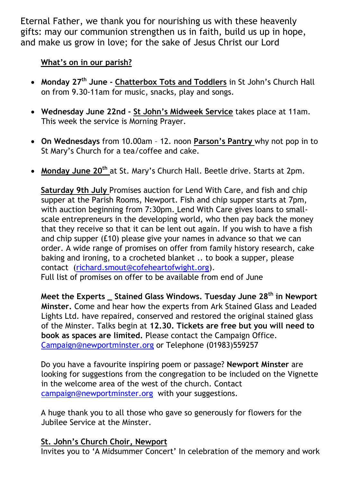Eternal Father, we thank you for nourishing us with these heavenly gifts: may our communion strengthen us in faith, build us up in hope, and make us grow in love; for the sake of Jesus Christ our Lord

#### **What's on in our parish?**

- **Monday 27th June - Chatterbox Tots and Toddlers** in St John's Church Hall on from 9.30-11am for music, snacks, play and songs.
- **Wednesday June 22nd - St John's Midweek Service** takes place at 11am. This week the service is Morning Prayer.
- **On Wednesdays** from 10.00am 12. noon **Parson's Pantry** why not pop in to St Mary's Church for a tea/coffee and cake.
- **Monday June 20th** at St. Mary's Church Hall. Beetle drive. Starts at 2pm.

**Saturday 9th July** Promises auction for Lend With Care, and fish and chip supper at the Parish Rooms, Newport. Fish and chip supper starts at 7pm, with auction beginning from 7:30pm. Lend With Care gives loans to smallscale entrepreneurs in the developing world, who then pay back the money that they receive so that it can be lent out again. If you wish to have a fish and chip supper (£10) please give your names in advance so that we can order. A wide range of promises on offer from family history research, cake baking and ironing, to a crocheted blanket .. to book a supper, please contact [\(richard.smout@cofeheartofwight.org\)](mailto:richard.smout@cofheartofwight.org).

Full list of promises on offer to be available from end of June

**Meet the Experts \_ Stained Glass Windows. Tuesday June 28th in Newport Minster.** Come and hear how the experts from Ark Stained Glass and Leaded Lights Ltd. have repaired, conserved and restored the original stained glass of the Minster. Talks begin at **12.30. Tickets are free but you will need to book as spaces are limited.** Please contact the Campaign Office. [Campaign@newportminster.org](mailto:Campaign@newportminster.org) or Telephone (01983)559257

Do you have a favourite inspiring poem or passage? **Newport Minster** are looking for suggestions from the congregation to be included on the Vignette in the welcome area of the west of the church. Contact [campaign@newportminster.org](mailto:campaign@newportminster.org) with your suggestions.

A huge thank you to all those who gave so generously for flowers for the Jubilee Service at the Minster.

#### **St. John's Church Choir, Newport**

Invites you to 'A Midsummer Concert' In celebration of the memory and work